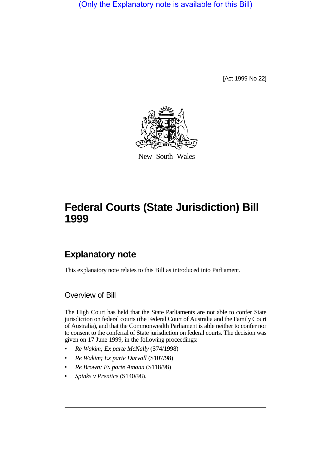(Only the Explanatory note is available for this Bill)

[Act 1999 No 22]



New South Wales

# **Federal Courts (State Jurisdiction) Bill 1999**

# **Explanatory note**

This explanatory note relates to this Bill as introduced into Parliament.

Overview of Bill

The High Court has held that the State Parliaments are not able to confer State jurisdiction on federal courts (the Federal Court of Australia and the Family Court of Australia), and that the Commonwealth Parliament is able neither to confer nor to consent to the conferral of State jurisdiction on federal courts. The decision was given on 17 June 1999, in the following proceedings:

- *Re Wakim; Ex parte McNally* (S74/1998)
- *Re Wakim; Ex parte Darvall* (S107/98)
- *Re Brown; Ex parte Amann* (S118/98)
- *Spinks v Prentice* (S140/98).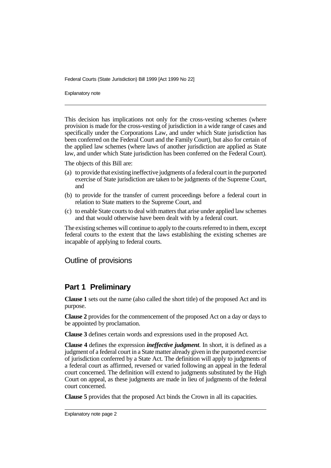Federal Courts (State Jurisdiction) Bill 1999 [Act 1999 No 22]

Explanatory note

This decision has implications not only for the cross-vesting schemes (where provision is made for the cross-vesting of jurisdiction in a wide range of cases and specifically under the Corporations Law, and under which State jurisdiction has been conferred on the Federal Court and the Family Court), but also for certain of the applied law schemes (where laws of another jurisdiction are applied as State law, and under which State jurisdiction has been conferred on the Federal Court).

The objects of this Bill are:

- (a) to provide that existing ineffective judgments of a federal court in the purported exercise of State jurisdiction are taken to be judgments of the Supreme Court, and
- (b) to provide for the transfer of current proceedings before a federal court in relation to State matters to the Supreme Court, and
- (c) to enable State courts to deal with matters that arise under applied law schemes and that would otherwise have been dealt with by a federal court.

The existing schemes will continue to apply to the courts referred to in them, except federal courts to the extent that the laws establishing the existing schemes are incapable of applying to federal courts.

Outline of provisions

#### **Part 1 Preliminary**

**Clause 1** sets out the name (also called the short title) of the proposed Act and its purpose.

**Clause 2** provides for the commencement of the proposed Act on a day or days to be appointed by proclamation.

**Clause 3** defines certain words and expressions used in the proposed Act.

**Clause 4** defines the expression *ineffective judgment*. In short, it is defined as a judgment of a federal court in a State matter already given in the purported exercise of jurisdiction conferred by a State Act. The definition will apply to judgments of a federal court as affirmed, reversed or varied following an appeal in the federal court concerned. The definition will extend to judgments substituted by the High Court on appeal, as these judgments are made in lieu of judgments of the federal court concerned.

**Clause 5** provides that the proposed Act binds the Crown in all its capacities.

Explanatory note page 2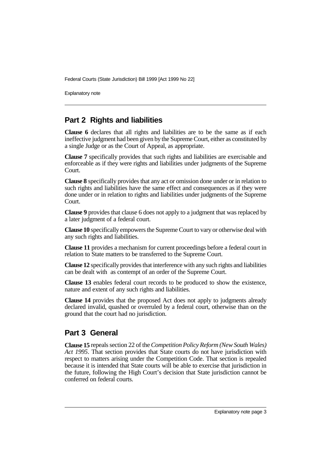Federal Courts (State Jurisdiction) Bill 1999 [Act 1999 No 22]

Explanatory note

## **Part 2 Rights and liabilities**

**Clause 6** declares that all rights and liabilities are to be the same as if each ineffective judgment had been given by the Supreme Court, either as constituted by a single Judge or as the Court of Appeal, as appropriate.

**Clause 7** specifically provides that such rights and liabilities are exercisable and enforceable as if they were rights and liabilities under judgments of the Supreme Court.

**Clause 8** specifically provides that any act or omission done under or in relation to such rights and liabilities have the same effect and consequences as if they were done under or in relation to rights and liabilities under judgments of the Supreme Court.

**Clause 9** provides that clause 6 does not apply to a judgment that was replaced by a later judgment of a federal court.

**Clause 10** specifically empowers the Supreme Court to vary or otherwise deal with any such rights and liabilities.

**Clause 11** provides a mechanism for current proceedings before a federal court in relation to State matters to be transferred to the Supreme Court.

**Clause 12** specifically provides that interference with any such rights and liabilities can be dealt with as contempt of an order of the Supreme Court.

**Clause 13** enables federal court records to be produced to show the existence, nature and extent of any such rights and liabilities.

**Clause 14** provides that the proposed Act does not apply to judgments already declared invalid, quashed or overruled by a federal court, otherwise than on the ground that the court had no jurisdiction.

### **Part 3 General**

**Clause 15** repeals section 22 of the *Competition Policy Reform (New South Wales) Act 1995*. That section provides that State courts do not have jurisdiction with respect to matters arising under the Competition Code. That section is repealed because it is intended that State courts will be able to exercise that jurisdiction in the future, following the High Court's decision that State jurisdiction cannot be conferred on federal courts.